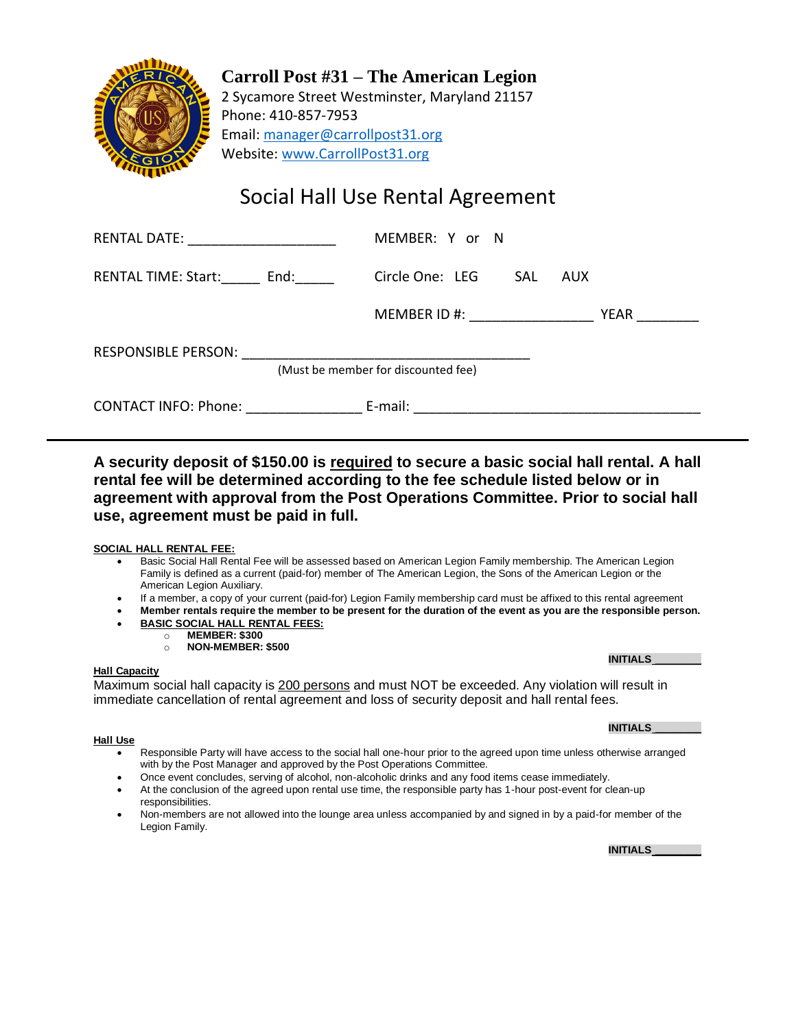

**Carroll Post #31 – The American Legion** 2 Sycamore Street Westminster, Maryland 21157 Phone: 410-857-7953 Email: [manager@carrollpost31.org](mailto:manager@carrollpost31.org) Website[: www.CarrollPost31.org](http://www.carrollpost31.org/)

# Social Hall Use Rental Agreement

| RENTAL DATE: ______________________ | MEMBER: Y or N              |      |  |  |
|-------------------------------------|-----------------------------|------|--|--|
| RENTAL TIME: Start: End:            | Circle One: LEG SAL AUX     |      |  |  |
|                                     | MEMBER ID #: ______________ | YEAR |  |  |
|                                     |                             |      |  |  |
| (Must be member for discounted fee) |                             |      |  |  |
| CONTACT INFO: Phone: E-mail:        |                             |      |  |  |

**A security deposit of \$150.00 is required to secure a basic social hall rental. A hall rental fee will be determined according to the fee schedule listed below or in agreement with approval from the Post Operations Committee. Prior to social hall use, agreement must be paid in full.**

### **SOCIAL HALL RENTAL FEE:**

- Basic Social Hall Rental Fee will be assessed based on American Legion Family membership. The American Legion Family is defined as a current (paid-for) member of The American Legion, the Sons of the American Legion or the American Legion Auxiliary.
- If a member, a copy of your current (paid-for) Legion Family membership card must be affixed to this rental agreement
- **Member rentals require the member to be present for the duration of the event as you are the responsible person.** • **BASIC SOCIAL HALL RENTAL FEES:**
	- o **MEMBER: \$300**
		- o **NON-MEMBER: \$500**

### **Hall Capacity**

Maximum social hall capacity is 200 persons and must NOT be exceeded. Any violation will result in immediate cancellation of rental agreement and loss of security deposit and hall rental fees.

### **Hall Use**

- Responsible Party will have access to the social hall one-hour prior to the agreed upon time unless otherwise arranged with by the Post Manager and approved by the Post Operations Committee.
- Once event concludes, serving of alcohol, non-alcoholic drinks and any food items cease immediately.
- At the conclusion of the agreed upon rental use time, the responsible party has 1-hour post-event for clean-up responsibilities.
- Non-members are not allowed into the lounge area unless accompanied by and signed in by a paid-for member of the Legion Family.

**INITIALS \_\_\_\_\_\_\_\_**

**INITIALS \_\_\_\_\_\_\_\_**

## **INITIALS \_\_\_\_\_\_\_\_**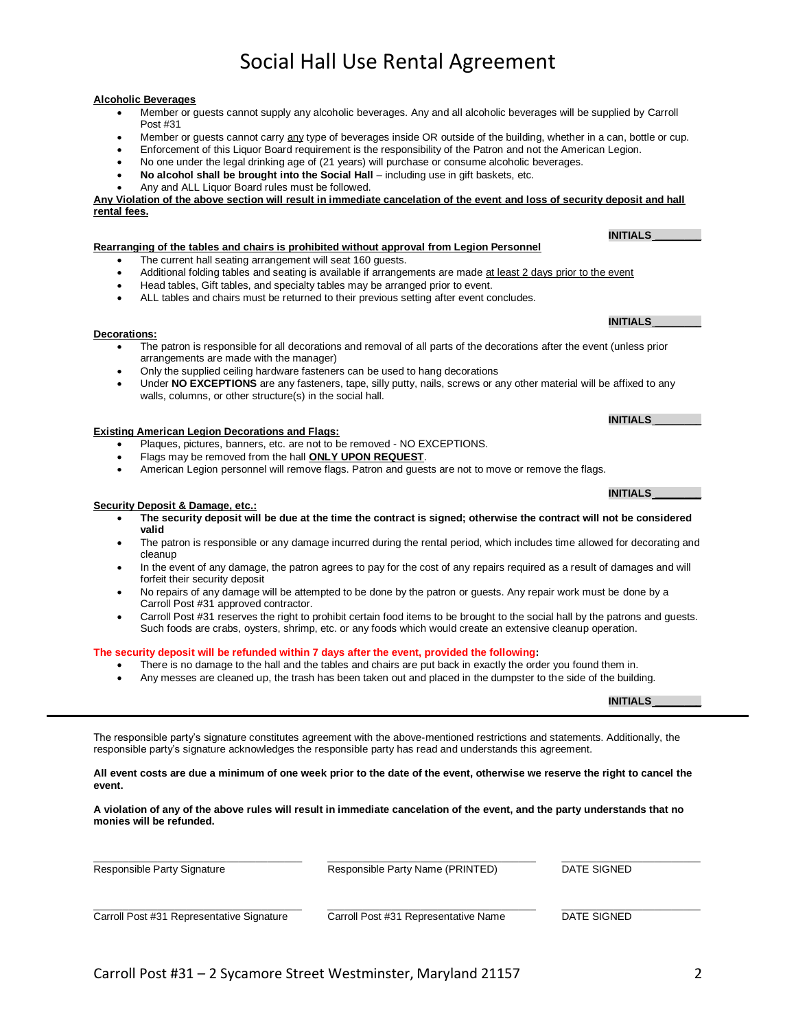## Social Hall Use Rental Agreement

#### **Alcoholic Beverages**

- Member or guests cannot supply any alcoholic beverages. Any and all alcoholic beverages will be supplied by Carroll Post #31
- Member or guests cannot carry any type of beverages inside OR outside of the building, whether in a can, bottle or cup.
- Enforcement of this Liquor Board requirement is the responsibility of the Patron and not the American Legion.
- No one under the legal drinking age of (21 years) will purchase or consume alcoholic beverages.
- **No alcohol shall be brought into the Social Hall** including use in gift baskets, etc.
- Any and ALL Liquor Board rules must be followed.

**Any Violation of the above section will result in immediate cancelation of the event and loss of security deposit and hall rental fees.**

#### **Rearranging of the tables and chairs is prohibited without approval from Legion Personnel**

- The current hall seating arrangement will seat 160 quests.
- Additional folding tables and seating is available if arrangements are made at least 2 days prior to the event
- $\bullet$  Head tables, Gift tables, and specialty tables may be arranged prior to event.
- ALL tables and chairs must be returned to their previous setting after event concludes.

#### **Decorations:**

- The patron is responsible for all decorations and removal of all parts of the decorations after the event (unless prior arrangements are made with the manager)
- Only the supplied ceiling hardware fasteners can be used to hang decorations
- Under **NO EXCEPTIONS** are any fasteners, tape, silly putty, nails, screws or any other material will be affixed to any walls, columns, or other structure(s) in the social hall.

#### **Existing American Legion Decorations and Flags:**

- Plaques, pictures, banners, etc. are not to be removed NO EXCEPTIONS.
- Flags may be removed from the hall **ONLY UPON REQUEST**.
- American Legion personnel will remove flags. Patron and guests are not to move or remove the flags.

#### **Security Deposit & Damage, etc.:**

- **The security deposit will be due at the time the contract is signed; otherwise the contract will not be considered valid**
- The patron is responsible or any damage incurred during the rental period, which includes time allowed for decorating and cleanup
- In the event of any damage, the patron agrees to pay for the cost of any repairs required as a result of damages and will forfeit their security deposit
- No repairs of any damage will be attempted to be done by the patron or guests. Any repair work must be done by a Carroll Post #31 approved contractor.
- Carroll Post #31 reserves the right to prohibit certain food items to be brought to the social hall by the patrons and guests. Such foods are crabs, oysters, shrimp, etc. or any foods which would create an extensive cleanup operation.

#### **The security deposit will be refunded within 7 days after the event, provided the following:**

- There is no damage to the hall and the tables and chairs are put back in exactly the order you found them in.
- Any messes are cleaned up, the trash has been taken out and placed in the dumpster to the side of the building.

The responsible party's signature constitutes agreement with the above-mentioned restrictions and statements. Additionally, the responsible party's signature acknowledges the responsible party has read and understands this agreement.

**All event costs are due a minimum of one week prior to the date of the event, otherwise we reserve the right to cancel the event.**

**A violation of any of the above rules will result in immediate cancelation of the event, and the party understands that no monies will be refunded.**

| Responsible Party Signature               | Responsible Party Name (PRINTED)     | DATE SIGNED |  |  |
|-------------------------------------------|--------------------------------------|-------------|--|--|
| Carroll Post #31 Representative Signature | Carroll Post #31 Representative Name | DATE SIGNED |  |  |

**INITIALS \_\_\_\_\_\_\_\_**

**INITIALS \_\_\_\_\_\_\_\_**

**INITIALS \_\_\_\_\_\_\_\_**

**INITIALS \_\_\_\_\_\_\_\_**

**INITIALS \_\_\_\_\_\_\_\_**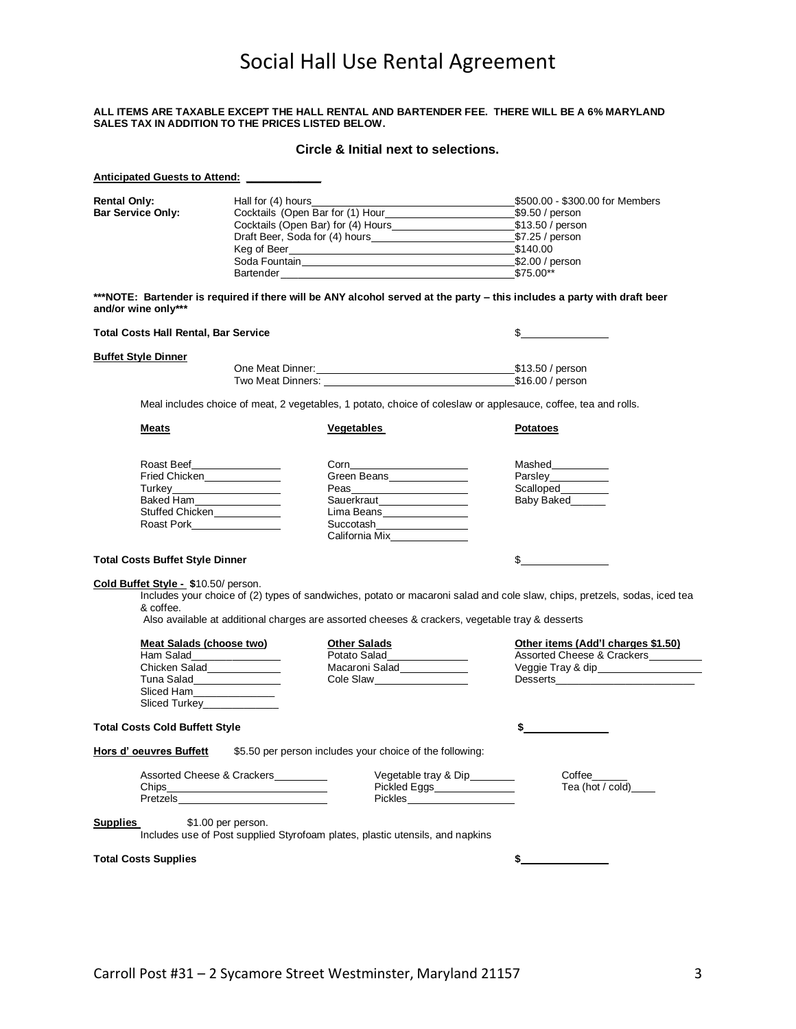# Social Hall Use Rental Agreement

#### **ALL ITEMS ARE TAXABLE EXCEPT THE HALL RENTAL AND BARTENDER FEE. THERE WILL BE A 6% MARYLAND SALES TAX IN ADDITION TO THE PRICES LISTED BELOW.**

### **Circle & Initial next to selections.**

| <b>Anticipated Guests to Attend:</b>        |                                                                                                                                              |                                                                                                                                                                                                                                |                                                                                                                           |  |  |
|---------------------------------------------|----------------------------------------------------------------------------------------------------------------------------------------------|--------------------------------------------------------------------------------------------------------------------------------------------------------------------------------------------------------------------------------|---------------------------------------------------------------------------------------------------------------------------|--|--|
| <b>Rental Only:</b>                         | Hall for (4) hours                                                                                                                           |                                                                                                                                                                                                                                | _\$500.00 - \$300.00 for Members                                                                                          |  |  |
|                                             | Cocktails (Open Bar for (1) Hour<br><b>Bar Service Only:</b><br>Cocktails (Open Bar) for (4) Hours <b>Cocktails</b> (Open Bar) for (4) Hours |                                                                                                                                                                                                                                | \$9.50 / person                                                                                                           |  |  |
|                                             |                                                                                                                                              |                                                                                                                                                                                                                                |                                                                                                                           |  |  |
|                                             |                                                                                                                                              |                                                                                                                                                                                                                                |                                                                                                                           |  |  |
|                                             |                                                                                                                                              |                                                                                                                                                                                                                                |                                                                                                                           |  |  |
|                                             |                                                                                                                                              | Soda Fountain Soda Fountain Soda Fountain Soda Funnities Soda Fountain Soda Funnities Soda Funnities Soda Funnities Soda Funnities Soda Funnities Soda Funnities Soda Funnities Soda Funnities Soda Funnities Soda Funnities S |                                                                                                                           |  |  |
|                                             |                                                                                                                                              | Bartender \$75.00**                                                                                                                                                                                                            |                                                                                                                           |  |  |
| and/or wine only***                         |                                                                                                                                              | ***NOTE: Bartender is required if there will be ANY alcohol served at the party - this includes a party with draft beer                                                                                                        |                                                                                                                           |  |  |
| <b>Total Costs Hall Rental, Bar Service</b> |                                                                                                                                              |                                                                                                                                                                                                                                | $\sim$                                                                                                                    |  |  |
| <b>Buffet Style Dinner</b>                  |                                                                                                                                              |                                                                                                                                                                                                                                |                                                                                                                           |  |  |
|                                             |                                                                                                                                              |                                                                                                                                                                                                                                |                                                                                                                           |  |  |
|                                             |                                                                                                                                              |                                                                                                                                                                                                                                |                                                                                                                           |  |  |
|                                             |                                                                                                                                              |                                                                                                                                                                                                                                |                                                                                                                           |  |  |
|                                             |                                                                                                                                              | Meal includes choice of meat, 2 vegetables, 1 potato, choice of coleslaw or applesauce, coffee, tea and rolls.                                                                                                                 |                                                                                                                           |  |  |
| Meats                                       |                                                                                                                                              | Vegetables                                                                                                                                                                                                                     | <b>Potatoes</b>                                                                                                           |  |  |
|                                             |                                                                                                                                              |                                                                                                                                                                                                                                |                                                                                                                           |  |  |
|                                             | Roast Beef_________________                                                                                                                  | $\begin{array}{c} \text{Corn} \end{array}$                                                                                                                                                                                     | Mashed__________                                                                                                          |  |  |
|                                             |                                                                                                                                              | Green Beans<br><u>Letter</u>                                                                                                                                                                                                   |                                                                                                                           |  |  |
|                                             | Turkey_______________________                                                                                                                |                                                                                                                                                                                                                                | Scalloped_________                                                                                                        |  |  |
|                                             | Baked Ham                                                                                                                                    | Sauerkraut <b>Martia</b>                                                                                                                                                                                                       | Baby Baked______                                                                                                          |  |  |
|                                             | Stuffed Chicken____________                                                                                                                  | Lima Beans<br><u>Lima Beans</u>                                                                                                                                                                                                |                                                                                                                           |  |  |
|                                             | Roast Pork__________________                                                                                                                 | Succotash_________________                                                                                                                                                                                                     |                                                                                                                           |  |  |
| <b>Total Costs Buffet Style Dinner</b>      |                                                                                                                                              |                                                                                                                                                                                                                                | $\sim$                                                                                                                    |  |  |
| Cold Buffet Style - \$10.50/ person.        |                                                                                                                                              |                                                                                                                                                                                                                                |                                                                                                                           |  |  |
|                                             |                                                                                                                                              |                                                                                                                                                                                                                                | Includes your choice of (2) types of sandwiches, potato or macaroni salad and cole slaw, chips, pretzels, sodas, iced tea |  |  |
| & coffee.                                   |                                                                                                                                              | Also available at additional charges are assorted cheeses & crackers, vegetable tray & desserts                                                                                                                                |                                                                                                                           |  |  |
|                                             |                                                                                                                                              |                                                                                                                                                                                                                                |                                                                                                                           |  |  |
| Meat Salads (choose two)                    |                                                                                                                                              | <b>Other Salads</b>                                                                                                                                                                                                            | Other items (Add'l charges \$1.50)                                                                                        |  |  |
|                                             |                                                                                                                                              | Potato Salad_______________                                                                                                                                                                                                    | Assorted Cheese & Crackers                                                                                                |  |  |
| Chicken Salad<br>Tuna Salad Elenander       |                                                                                                                                              | Macaroni Salad                                                                                                                                                                                                                 |                                                                                                                           |  |  |
|                                             |                                                                                                                                              | Cole Slaw___________________                                                                                                                                                                                                   |                                                                                                                           |  |  |
| Sliced Ham                                  |                                                                                                                                              |                                                                                                                                                                                                                                |                                                                                                                           |  |  |
|                                             | Sliced Turkey_______________                                                                                                                 |                                                                                                                                                                                                                                |                                                                                                                           |  |  |
| <b>Total Costs Cold Buffett Style</b>       |                                                                                                                                              |                                                                                                                                                                                                                                | \$                                                                                                                        |  |  |
| Hors d' oeuvres Buffett                     |                                                                                                                                              | \$5.50 per person includes your choice of the following:                                                                                                                                                                       |                                                                                                                           |  |  |
|                                             | Assorted Cheese & Crackers                                                                                                                   |                                                                                                                                                                                                                                |                                                                                                                           |  |  |
|                                             |                                                                                                                                              | Vegetable tray & Dip_______                                                                                                                                                                                                    | Coffee                                                                                                                    |  |  |
|                                             |                                                                                                                                              | Pickled Eggs_______________<br>Pickles______________________                                                                                                                                                                   | Tea (hot / cold) _____                                                                                                    |  |  |
|                                             |                                                                                                                                              |                                                                                                                                                                                                                                |                                                                                                                           |  |  |
| <b>Supplies</b>                             | \$1.00 per person.                                                                                                                           | Includes use of Post supplied Styrofoam plates, plastic utensils, and napkins                                                                                                                                                  |                                                                                                                           |  |  |
|                                             |                                                                                                                                              |                                                                                                                                                                                                                                |                                                                                                                           |  |  |
| <b>Total Costs Supplies</b>                 |                                                                                                                                              |                                                                                                                                                                                                                                | $\sim$ $\sim$                                                                                                             |  |  |
|                                             |                                                                                                                                              |                                                                                                                                                                                                                                |                                                                                                                           |  |  |
|                                             |                                                                                                                                              |                                                                                                                                                                                                                                |                                                                                                                           |  |  |